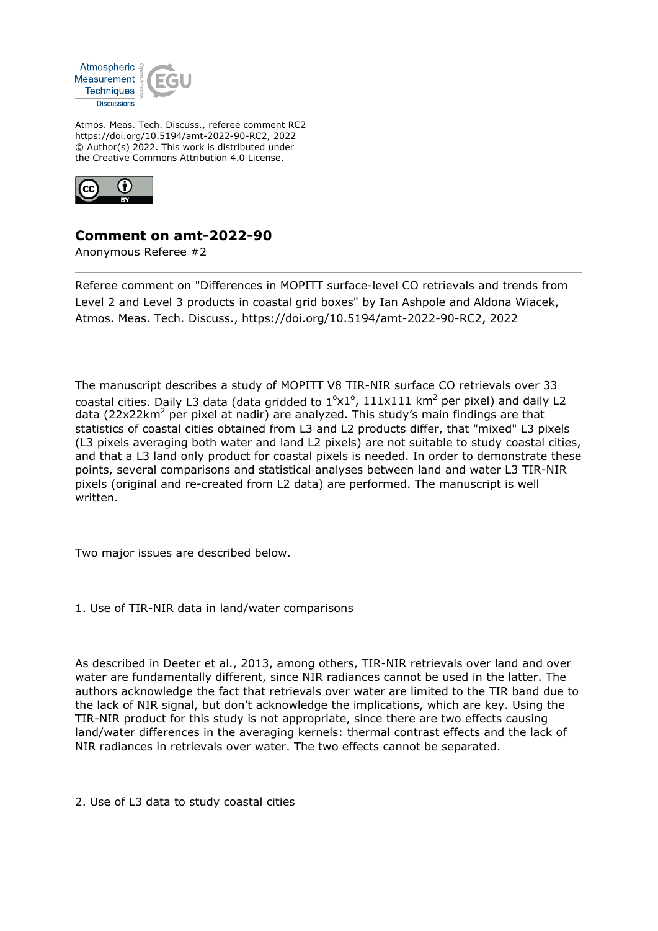

Atmos. Meas. Tech. Discuss., referee comment RC2 https://doi.org/10.5194/amt-2022-90-RC2, 2022 © Author(s) 2022. This work is distributed under the Creative Commons Attribution 4.0 License.



## **Comment on amt-2022-90**

Anonymous Referee #2

Referee comment on "Differences in MOPITT surface-level CO retrievals and trends from Level 2 and Level 3 products in coastal grid boxes" by Ian Ashpole and Aldona Wiacek, Atmos. Meas. Tech. Discuss., https://doi.org/10.5194/amt-2022-90-RC2, 2022

The manuscript describes a study of MOPITT V8 TIR-NIR surface CO retrievals over 33 coastal cities. Daily L3 data (data gridded to  $1^{\circ}$ x $1^{\circ}$ , 111x111 km<sup>2</sup> per pixel) and daily L2 data (22x22km<sup>2</sup> per pixel at nadir) are analyzed. This study's main findings are that statistics of coastal cities obtained from L3 and L2 products differ, that "mixed" L3 pixels (L3 pixels averaging both water and land L2 pixels) are not suitable to study coastal cities, and that a L3 land only product for coastal pixels is needed. In order to demonstrate these points, several comparisons and statistical analyses between land and water L3 TIR-NIR pixels (original and re-created from L2 data) are performed. The manuscript is well written.

Two major issues are described below.

1. Use of TIR-NIR data in land/water comparisons

As described in Deeter et al., 2013, among others, TIR-NIR retrievals over land and over water are fundamentally different, since NIR radiances cannot be used in the latter. The authors acknowledge the fact that retrievals over water are limited to the TIR band due to the lack of NIR signal, but don't acknowledge the implications, which are key. Using the TIR-NIR product for this study is not appropriate, since there are two effects causing land/water differences in the averaging kernels: thermal contrast effects and the lack of NIR radiances in retrievals over water. The two effects cannot be separated.

2. Use of L3 data to study coastal cities